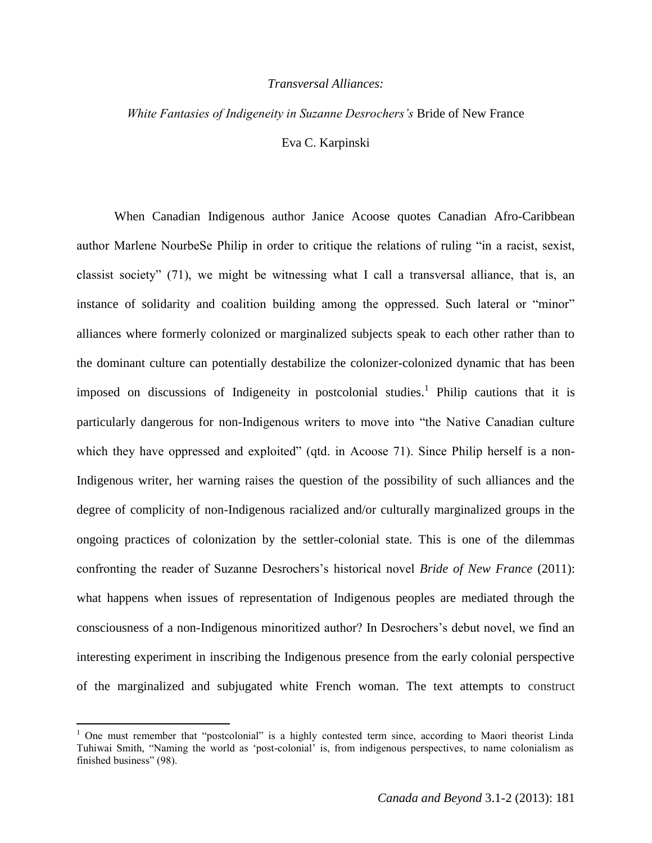## *Transversal Alliances:*

## *White Fantasies of Indigeneity in Suzanne Desrochers's* Bride of New France

Eva C. Karpinski

When Canadian Indigenous author Janice Acoose quotes Canadian Afro-Caribbean author Marlene NourbeSe Philip in order to critique the relations of ruling "in a racist, sexist, classist society" (71), we might be witnessing what I call a transversal alliance, that is, an instance of solidarity and coalition building among the oppressed. Such lateral or "minor" alliances where formerly colonized or marginalized subjects speak to each other rather than to the dominant culture can potentially destabilize the colonizer-colonized dynamic that has been imposed on discussions of Indigeneity in postcolonial studies.<sup>1</sup> Philip cautions that it is particularly dangerous for non-Indigenous writers to move into "the Native Canadian culture which they have oppressed and exploited" (qtd. in Acoose 71). Since Philip herself is a non-Indigenous writer, her warning raises the question of the possibility of such alliances and the degree of complicity of non-Indigenous racialized and/or culturally marginalized groups in the ongoing practices of colonization by the settler-colonial state. This is one of the dilemmas confronting the reader of Suzanne Desrochers's historical novel *Bride of New France* (2011): what happens when issues of representation of Indigenous peoples are mediated through the consciousness of a non-Indigenous minoritized author? In Desrochers's debut novel, we find an interesting experiment in inscribing the Indigenous presence from the early colonial perspective of the marginalized and subjugated white French woman. The text attempts to construct

<sup>&</sup>lt;sup>1</sup> One must remember that "postcolonial" is a highly contested term since, according to Maori theorist Linda Tuhiwai Smith, "Naming the world as 'post-colonial' is, from indigenous perspectives, to name colonialism as finished business" (98).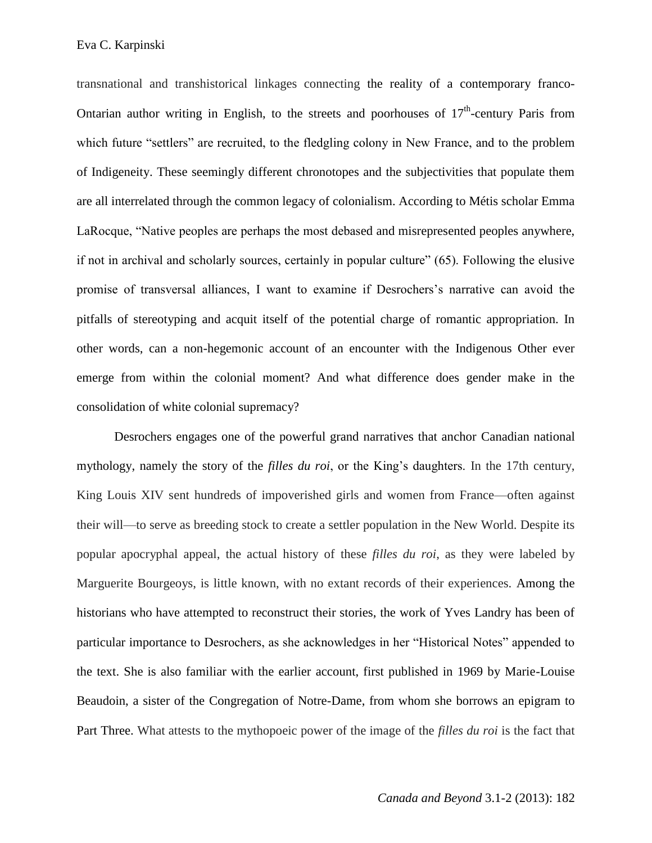transnational and transhistorical linkages connecting the reality of a contemporary franco-Ontarian author writing in English, to the streets and poorhouses of  $17<sup>th</sup>$ -century Paris from which future "settlers" are recruited, to the fledgling colony in New France, and to the problem of Indigeneity. These seemingly different chronotopes and the subjectivities that populate them are all interrelated through the common legacy of colonialism. According to Métis scholar Emma LaRocque, "Native peoples are perhaps the most debased and misrepresented peoples anywhere, if not in archival and scholarly sources, certainly in popular culture" (65). Following the elusive promise of transversal alliances, I want to examine if Desrochers's narrative can avoid the pitfalls of stereotyping and acquit itself of the potential charge of romantic appropriation. In other words, can a non-hegemonic account of an encounter with the Indigenous Other ever emerge from within the colonial moment? And what difference does gender make in the consolidation of white colonial supremacy?

Desrochers engages one of the powerful grand narratives that anchor Canadian national mythology, namely the story of the *filles du roi*, or the King's daughters. In the 17th century, King Louis XIV sent hundreds of impoverished girls and women from France—often against their will—to serve as breeding stock to create a settler population in the New World. Despite its popular apocryphal appeal, the actual history of these *filles du roi*, as they were labeled by Marguerite Bourgeoys, is little known, with no extant records of their experiences. Among the historians who have attempted to reconstruct their stories, the work of Yves Landry has been of particular importance to Desrochers, as she acknowledges in her "Historical Notes" appended to the text. She is also familiar with the earlier account, first published in 1969 by Marie-Louise Beaudoin, a sister of the Congregation of Notre-Dame, from whom she borrows an epigram to Part Three. What attests to the mythopoeic power of the image of the *filles du roi* is the fact that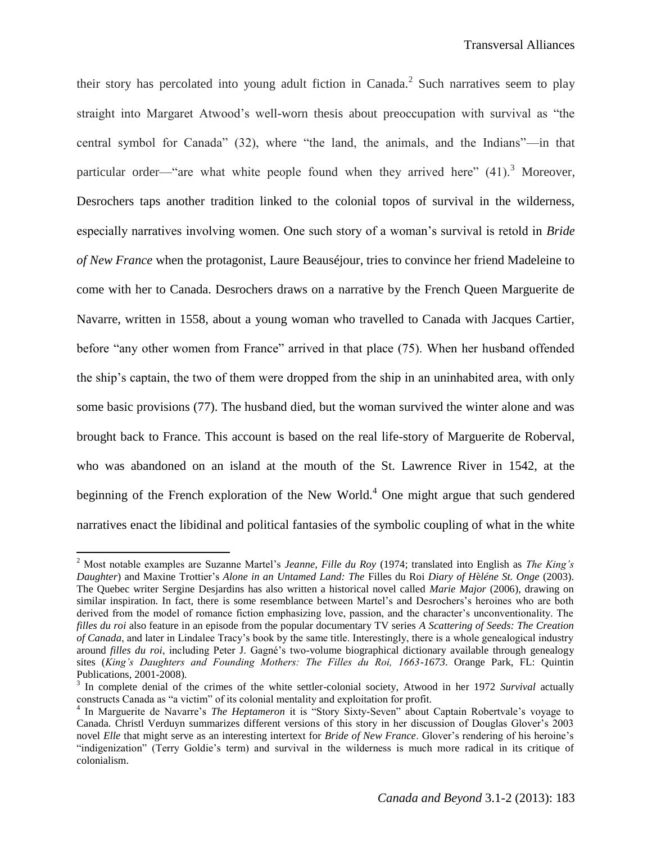their story has percolated into young adult fiction in Canada.<sup>2</sup> Such narratives seem to play straight into Margaret Atwood's well-worn thesis about preoccupation with survival as "the central symbol for Canada" (32), where "the land, the animals, and the Indians"—in that particular order—"are what white people found when they arrived here"  $(41)$ .<sup>3</sup> Moreover, Desrochers taps another tradition linked to the colonial topos of survival in the wilderness, especially narratives involving women. One such story of a woman's survival is retold in *Bride of New France* when the protagonist, Laure Beauséjour, tries to convince her friend Madeleine to come with her to Canada. Desrochers draws on a narrative by the French Queen Marguerite de Navarre, written in 1558, about a young woman who travelled to Canada with Jacques Cartier, before "any other women from France" arrived in that place (75). When her husband offended the ship's captain, the two of them were dropped from the ship in an uninhabited area, with only some basic provisions (77). The husband died, but the woman survived the winter alone and was brought back to France. This account is based on the real life-story of Marguerite de Roberval, who was abandoned on an island at the mouth of the St. Lawrence River in 1542, at the beginning of the French exploration of the New World.<sup>4</sup> One might argue that such gendered narratives enact the libidinal and political fantasies of the symbolic coupling of what in the white

<sup>2</sup> Most notable examples are Suzanne Martel's *Jeanne, Fille du Roy* (1974; translated into English as *The King's Daughter*) and Maxine Trottier's *Alone in an Untamed Land: The* Filles du Roi *Diary of H*è*léne St. Onge* (2003). The Quebec writer Sergine Desjardins has also written a historical novel called *Marie Major* (2006), drawing on similar inspiration. In fact, there is some resemblance between Martel's and Desrochers's heroines who are both derived from the model of romance fiction emphasizing love, passion, and the character's unconventionality. The *filles du roi* also feature in an episode from the popular documentary TV series *A Scattering of Seeds: The Creation of Canada*, and later in Lindalee Tracy's book by the same title. Interestingly, there is a whole genealogical industry around *filles du roi*, including Peter J. Gagné's two-volume biographical dictionary available through genealogy sites (*King's Daughters and Founding Mothers: The Filles du Roi, 1663-1673*. Orange Park, FL: Quintin Publications, 2001-2008).

<sup>&</sup>lt;sup>3</sup> In complete denial of the crimes of the white settler-colonial society, Atwood in her 1972 *Survival* actually constructs Canada as "a victim" of its colonial mentality and exploitation for profit.

<sup>&</sup>lt;sup>4</sup> In Marguerite de Navarre's *The Heptameron* it is "Story Sixty-Seven" about Captain Robertvale's voyage to Canada. Christl Verduyn summarizes different versions of this story in her discussion of Douglas Glover's 2003 novel *Elle* that might serve as an interesting intertext for *Bride of New France*. Glover's rendering of his heroine's "indigenization" (Terry Goldie's term) and survival in the wilderness is much more radical in its critique of colonialism.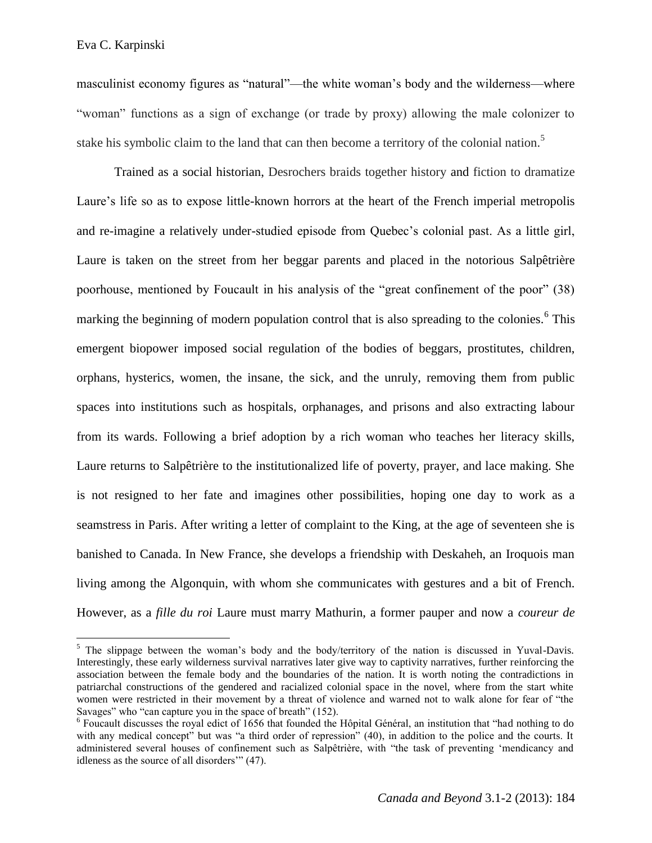masculinist economy figures as "natural"—the white woman's body and the wilderness—where "woman" functions as a sign of exchange (or trade by proxy) allowing the male colonizer to stake his symbolic claim to the land that can then become a territory of the colonial nation.<sup>5</sup>

Trained as a social historian, Desrochers braids together history and fiction to dramatize Laure's life so as to expose little-known horrors at the heart of the French imperial metropolis and re-imagine a relatively under-studied episode from Quebec's colonial past. As a little girl, Laure is taken on the street from her beggar parents and placed in the notorious Salpêtrière poorhouse, mentioned by Foucault in his analysis of the "great confinement of the poor" (38) marking the beginning of modern population control that is also spreading to the colonies.<sup>6</sup> This emergent biopower imposed social regulation of the bodies of beggars, prostitutes, children, orphans, hysterics, women, the insane, the sick, and the unruly, removing them from public spaces into institutions such as hospitals, orphanages, and prisons and also extracting labour from its wards. Following a brief adoption by a rich woman who teaches her literacy skills, Laure returns to Salpêtrière to the institutionalized life of poverty, prayer, and lace making. She is not resigned to her fate and imagines other possibilities, hoping one day to work as a seamstress in Paris. After writing a letter of complaint to the King, at the age of seventeen she is banished to Canada. In New France, she develops a friendship with Deskaheh, an Iroquois man living among the Algonquin, with whom she communicates with gestures and a bit of French. However, as a *fille du roi* Laure must marry Mathurin, a former pauper and now a *coureur de* 

 $<sup>5</sup>$  The slippage between the woman's body and the body/territory of the nation is discussed in Yuval-Davis.</sup> Interestingly, these early wilderness survival narratives later give way to captivity narratives, further reinforcing the association between the female body and the boundaries of the nation. It is worth noting the contradictions in patriarchal constructions of the gendered and racialized colonial space in the novel, where from the start white women were restricted in their movement by a threat of violence and warned not to walk alone for fear of "the Savages" who "can capture you in the space of breath" (152).

<sup>&</sup>lt;sup>6</sup> Foucault discusses the royal edict of 1656 that founded the Hôpital Général, an institution that "had nothing to do with any medical concept<sup>7</sup> but was "a third order of repression" (40), in addition to the police and the courts. It administered several houses of confinement such as Salpêtrière, with "the task of preventing 'mendicancy and idleness as the source of all disorders'" (47).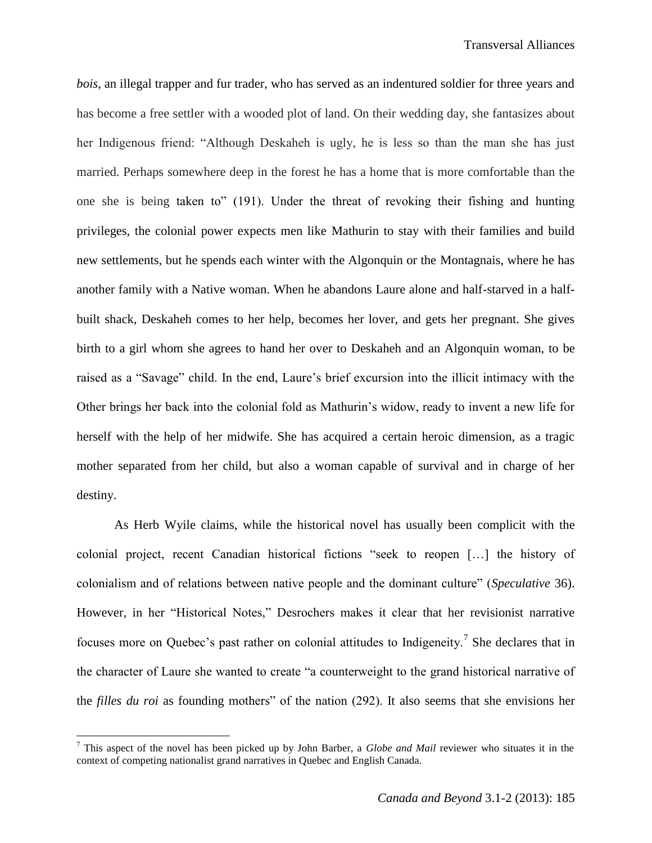*bois*, an illegal trapper and fur trader, who has served as an indentured soldier for three years and has become a free settler with a wooded plot of land. On their wedding day, she fantasizes about her Indigenous friend: "Although Deskaheh is ugly, he is less so than the man she has just married. Perhaps somewhere deep in the forest he has a home that is more comfortable than the one she is being taken to" (191). Under the threat of revoking their fishing and hunting privileges, the colonial power expects men like Mathurin to stay with their families and build new settlements, but he spends each winter with the Algonquin or the Montagnais, where he has another family with a Native woman. When he abandons Laure alone and half-starved in a halfbuilt shack, Deskaheh comes to her help, becomes her lover, and gets her pregnant. She gives birth to a girl whom she agrees to hand her over to Deskaheh and an Algonquin woman, to be raised as a "Savage" child. In the end, Laure's brief excursion into the illicit intimacy with the Other brings her back into the colonial fold as Mathurin's widow, ready to invent a new life for herself with the help of her midwife. She has acquired a certain heroic dimension, as a tragic mother separated from her child, but also a woman capable of survival and in charge of her destiny.

As Herb Wyile claims, while the historical novel has usually been complicit with the colonial project, recent Canadian historical fictions "seek to reopen […] the history of colonialism and of relations between native people and the dominant culture" (*Speculative* 36). However, in her "Historical Notes," Desrochers makes it clear that her revisionist narrative focuses more on Quebec's past rather on colonial attitudes to Indigeneity.<sup>7</sup> She declares that in the character of Laure she wanted to create "a counterweight to the grand historical narrative of the *filles du roi* as founding mothers" of the nation (292). It also seems that she envisions her

<sup>7</sup> This aspect of the novel has been picked up by John Barber, a *Globe and Mail* reviewer who situates it in the context of competing nationalist grand narratives in Quebec and English Canada.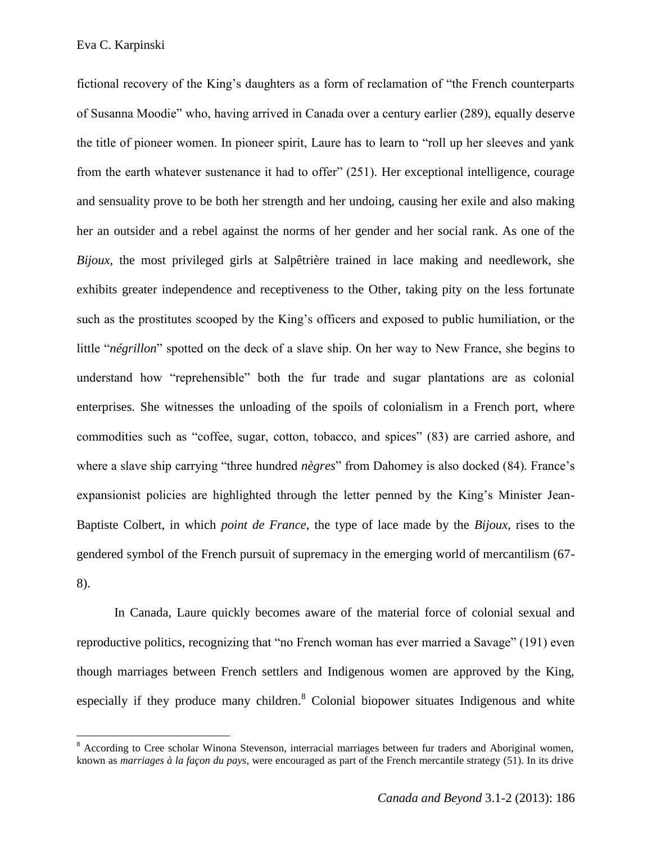fictional recovery of the King's daughters as a form of reclamation of "the French counterparts of Susanna Moodie" who, having arrived in Canada over a century earlier (289), equally deserve the title of pioneer women. In pioneer spirit, Laure has to learn to "roll up her sleeves and yank from the earth whatever sustenance it had to offer" (251). Her exceptional intelligence, courage and sensuality prove to be both her strength and her undoing, causing her exile and also making her an outsider and a rebel against the norms of her gender and her social rank. As one of the *Bijoux*, the most privileged girls at Salpêtrière trained in lace making and needlework, she exhibits greater independence and receptiveness to the Other, taking pity on the less fortunate such as the prostitutes scooped by the King's officers and exposed to public humiliation, or the little "*négrillon*" spotted on the deck of a slave ship. On her way to New France, she begins to understand how "reprehensible" both the fur trade and sugar plantations are as colonial enterprises. She witnesses the unloading of the spoils of colonialism in a French port, where commodities such as "coffee, sugar, cotton, tobacco, and spices" (83) are carried ashore, and where a slave ship carrying "three hundred *nègres*" from Dahomey is also docked (84). France's expansionist policies are highlighted through the letter penned by the King's Minister Jean-Baptiste Colbert, in which *point de France*, the type of lace made by the *Bijoux*, rises to the gendered symbol of the French pursuit of supremacy in the emerging world of mercantilism (67- 8).

In Canada, Laure quickly becomes aware of the material force of colonial sexual and reproductive politics, recognizing that "no French woman has ever married a Savage" (191) even though marriages between French settlers and Indigenous women are approved by the King, especially if they produce many children.<sup>8</sup> Colonial biopower situates Indigenous and white

 $8$  According to Cree scholar Winona Stevenson, interracial marriages between fur traders and Aboriginal women, known as *marriages à la façon du pays*, were encouraged as part of the French mercantile strategy (51). In its drive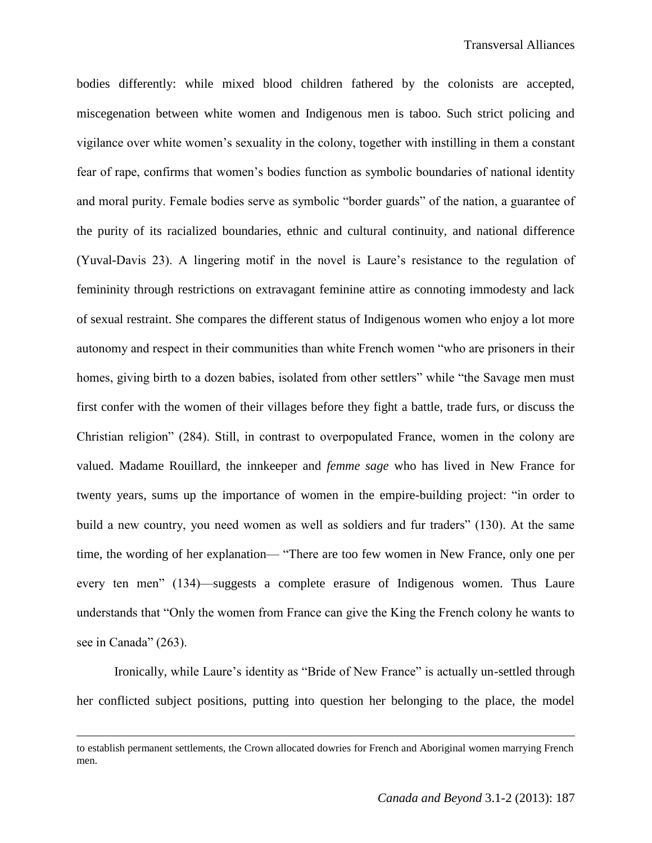bodies differently: while mixed blood children fathered by the colonists are accepted, miscegenation between white women and Indigenous men is taboo. Such strict policing and vigilance over white women's sexuality in the colony, together with instilling in them a constant fear of rape, confirms that women's bodies function as symbolic boundaries of national identity and moral purity. Female bodies serve as symbolic "border guards" of the nation, a guarantee of the purity of its racialized boundaries, ethnic and cultural continuity, and national difference (Yuval-Davis 23). A lingering motif in the novel is Laure's resistance to the regulation of femininity through restrictions on extravagant feminine attire as connoting immodesty and lack of sexual restraint. She compares the different status of Indigenous women who enjoy a lot more autonomy and respect in their communities than white French women "who are prisoners in their homes, giving birth to a dozen babies, isolated from other settlers" while "the Savage men must first confer with the women of their villages before they fight a battle, trade furs, or discuss the Christian religion" (284). Still, in contrast to overpopulated France, women in the colony are valued. Madame Rouillard, the innkeeper and *femme sage* who has lived in New France for twenty years, sums up the importance of women in the empire-building project: "in order to build a new country, you need women as well as soldiers and fur traders" (130). At the same time, the wording of her explanation— "There are too few women in New France, only one per every ten men" (134)—suggests a complete erasure of Indigenous women. Thus Laure understands that "Only the women from France can give the King the French colony he wants to see in Canada" (263).

Ironically, while Laure's identity as "Bride of New France" is actually un-settled through her conflicted subject positions, putting into question her belonging to the place, the model

to establish permanent settlements, the Crown allocated dowries for French and Aboriginal women marrying French men.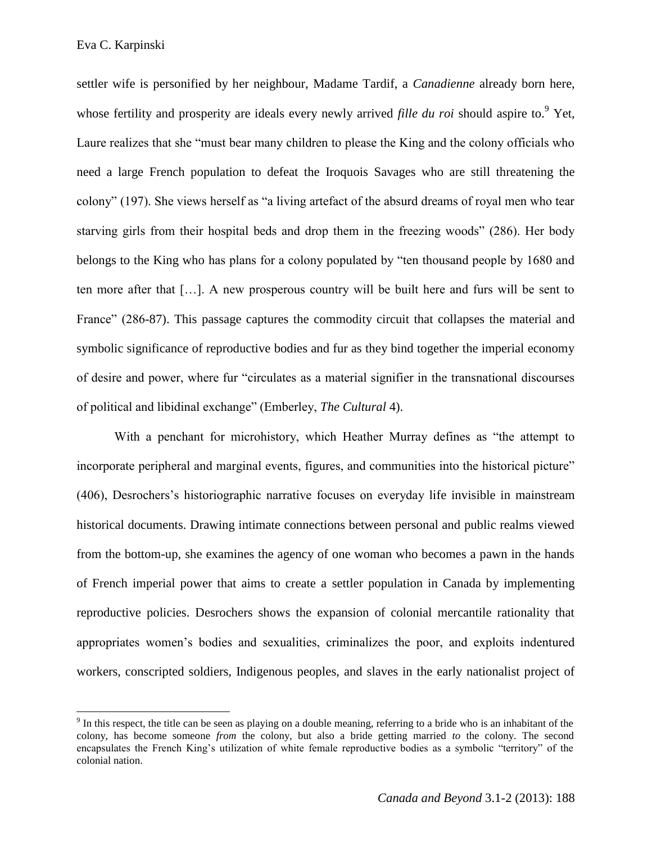settler wife is personified by her neighbour, Madame Tardif, a *Canadienne* already born here, whose fertility and prosperity are ideals every newly arrived *fille du roi* should aspire to.<sup>9</sup> Yet, Laure realizes that she "must bear many children to please the King and the colony officials who need a large French population to defeat the Iroquois Savages who are still threatening the colony" (197). She views herself as "a living artefact of the absurd dreams of royal men who tear starving girls from their hospital beds and drop them in the freezing woods" (286). Her body belongs to the King who has plans for a colony populated by "ten thousand people by 1680 and ten more after that […]. A new prosperous country will be built here and furs will be sent to France" (286-87). This passage captures the commodity circuit that collapses the material and symbolic significance of reproductive bodies and fur as they bind together the imperial economy of desire and power, where fur "circulates as a material signifier in the transnational discourses of political and libidinal exchange" (Emberley, *The Cultural* 4).

With a penchant for microhistory, which Heather Murray defines as "the attempt to incorporate peripheral and marginal events, figures, and communities into the historical picture" (406), Desrochers's historiographic narrative focuses on everyday life invisible in mainstream historical documents. Drawing intimate connections between personal and public realms viewed from the bottom-up, she examines the agency of one woman who becomes a pawn in the hands of French imperial power that aims to create a settler population in Canada by implementing reproductive policies. Desrochers shows the expansion of colonial mercantile rationality that appropriates women's bodies and sexualities, criminalizes the poor, and exploits indentured workers, conscripted soldiers, Indigenous peoples, and slaves in the early nationalist project of

 $9<sup>9</sup>$  In this respect, the title can be seen as playing on a double meaning, referring to a bride who is an inhabitant of the colony, has become someone *from* the colony, but also a bride getting married *to* the colony. The second encapsulates the French King's utilization of white female reproductive bodies as a symbolic "territory" of the colonial nation.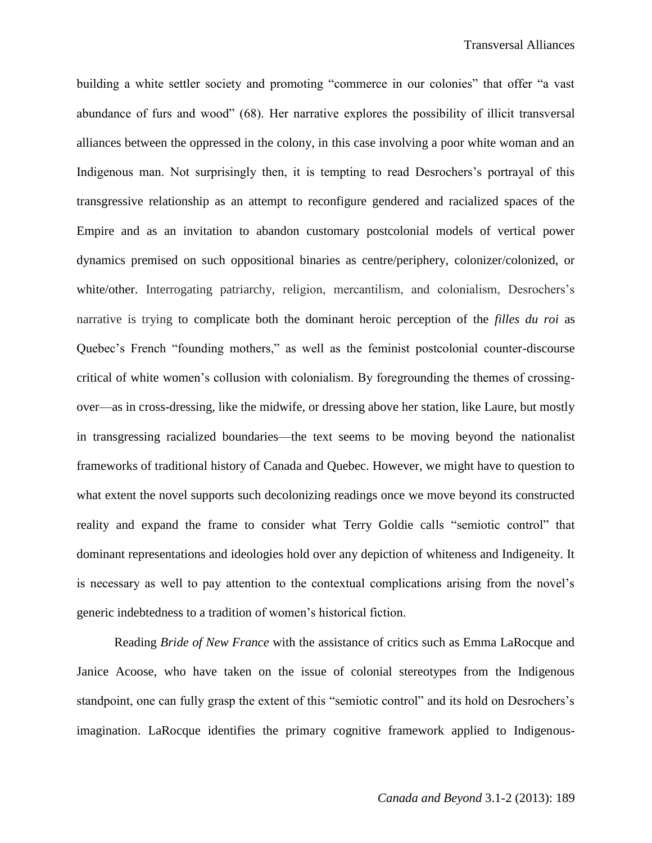building a white settler society and promoting "commerce in our colonies" that offer "a vast abundance of furs and wood" (68). Her narrative explores the possibility of illicit transversal alliances between the oppressed in the colony, in this case involving a poor white woman and an Indigenous man. Not surprisingly then, it is tempting to read Desrochers's portrayal of this transgressive relationship as an attempt to reconfigure gendered and racialized spaces of the Empire and as an invitation to abandon customary postcolonial models of vertical power dynamics premised on such oppositional binaries as centre/periphery, colonizer/colonized, or white/other. Interrogating patriarchy, religion, mercantilism, and colonialism, Desrochers's narrative is trying to complicate both the dominant heroic perception of the *filles du roi* as Quebec's French "founding mothers," as well as the feminist postcolonial counter-discourse critical of white women's collusion with colonialism. By foregrounding the themes of crossingover—as in cross-dressing, like the midwife, or dressing above her station, like Laure, but mostly in transgressing racialized boundaries—the text seems to be moving beyond the nationalist frameworks of traditional history of Canada and Quebec. However, we might have to question to what extent the novel supports such decolonizing readings once we move beyond its constructed reality and expand the frame to consider what Terry Goldie calls "semiotic control" that dominant representations and ideologies hold over any depiction of whiteness and Indigeneity. It is necessary as well to pay attention to the contextual complications arising from the novel's generic indebtedness to a tradition of women's historical fiction.

Reading *Bride of New France* with the assistance of critics such as Emma LaRocque and Janice Acoose, who have taken on the issue of colonial stereotypes from the Indigenous standpoint, one can fully grasp the extent of this "semiotic control" and its hold on Desrochers's imagination. LaRocque identifies the primary cognitive framework applied to Indigenous-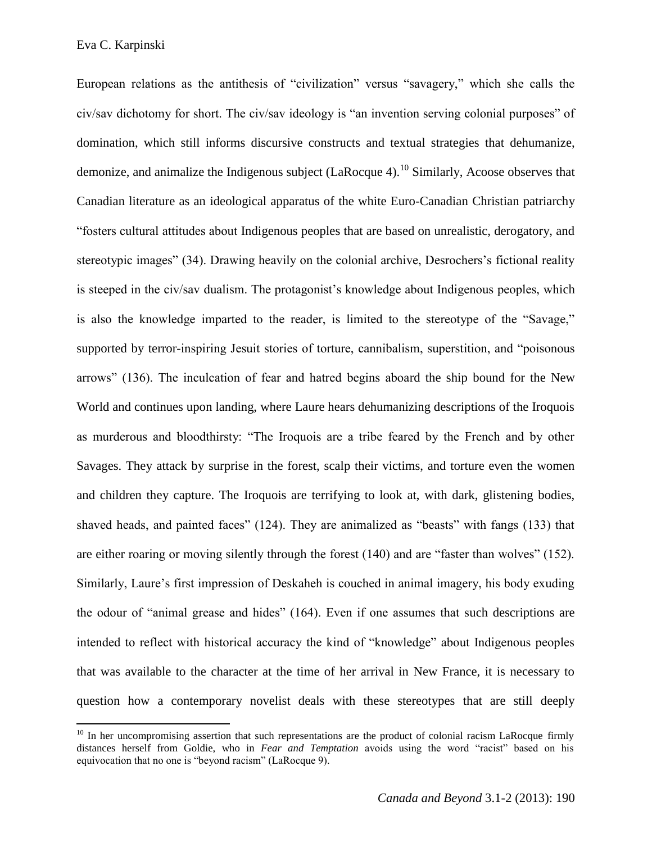European relations as the antithesis of "civilization" versus "savagery," which she calls the civ/sav dichotomy for short. The civ/sav ideology is "an invention serving colonial purposes" of domination, which still informs discursive constructs and textual strategies that dehumanize, demonize, and animalize the Indigenous subject  $(LaRocque 4).$ <sup>10</sup> Similarly, Acoose observes that Canadian literature as an ideological apparatus of the white Euro-Canadian Christian patriarchy "fosters cultural attitudes about Indigenous peoples that are based on unrealistic, derogatory, and stereotypic images" (34). Drawing heavily on the colonial archive, Desrochers's fictional reality is steeped in the civ/sav dualism. The protagonist's knowledge about Indigenous peoples, which is also the knowledge imparted to the reader, is limited to the stereotype of the "Savage," supported by terror-inspiring Jesuit stories of torture, cannibalism, superstition, and "poisonous arrows" (136). The inculcation of fear and hatred begins aboard the ship bound for the New World and continues upon landing, where Laure hears dehumanizing descriptions of the Iroquois as murderous and bloodthirsty: "The Iroquois are a tribe feared by the French and by other Savages. They attack by surprise in the forest, scalp their victims, and torture even the women and children they capture. The Iroquois are terrifying to look at, with dark, glistening bodies, shaved heads, and painted faces" (124). They are animalized as "beasts" with fangs (133) that are either roaring or moving silently through the forest (140) and are "faster than wolves" (152). Similarly, Laure's first impression of Deskaheh is couched in animal imagery, his body exuding the odour of "animal grease and hides" (164). Even if one assumes that such descriptions are intended to reflect with historical accuracy the kind of "knowledge" about Indigenous peoples that was available to the character at the time of her arrival in New France, it is necessary to question how a contemporary novelist deals with these stereotypes that are still deeply

 $10$  In her uncompromising assertion that such representations are the product of colonial racism LaRocque firmly distances herself from Goldie, who in *Fear and Temptation* avoids using the word "racist" based on his equivocation that no one is "beyond racism" (LaRocque 9).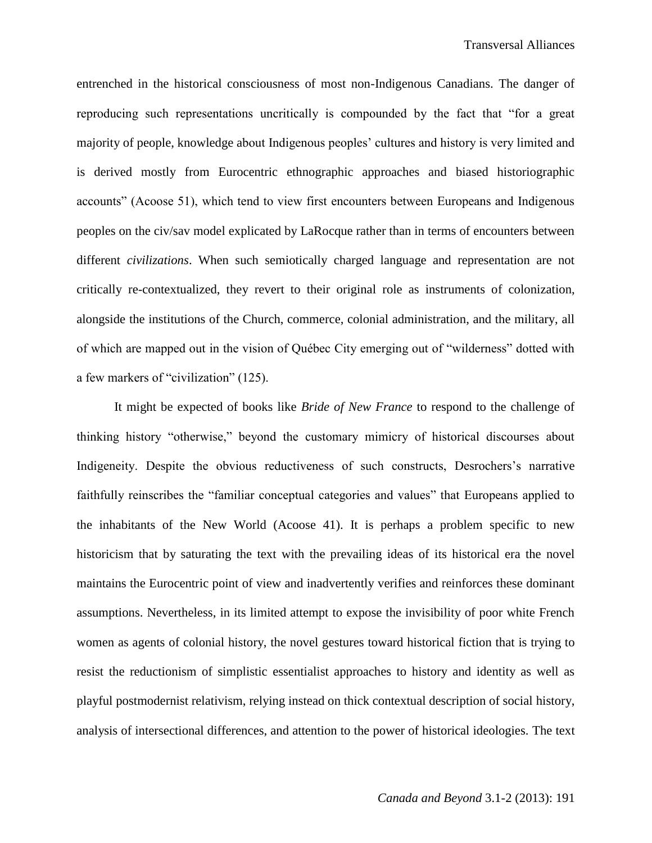entrenched in the historical consciousness of most non-Indigenous Canadians. The danger of reproducing such representations uncritically is compounded by the fact that "for a great majority of people, knowledge about Indigenous peoples' cultures and history is very limited and is derived mostly from Eurocentric ethnographic approaches and biased historiographic accounts" (Acoose 51), which tend to view first encounters between Europeans and Indigenous peoples on the civ/sav model explicated by LaRocque rather than in terms of encounters between different *civilizations*. When such semiotically charged language and representation are not critically re-contextualized, they revert to their original role as instruments of colonization, alongside the institutions of the Church, commerce, colonial administration, and the military, all of which are mapped out in the vision of Québec City emerging out of "wilderness" dotted with a few markers of "civilization" (125).

It might be expected of books like *Bride of New France* to respond to the challenge of thinking history "otherwise," beyond the customary mimicry of historical discourses about Indigeneity. Despite the obvious reductiveness of such constructs, Desrochers's narrative faithfully reinscribes the "familiar conceptual categories and values" that Europeans applied to the inhabitants of the New World (Acoose 41). It is perhaps a problem specific to new historicism that by saturating the text with the prevailing ideas of its historical era the novel maintains the Eurocentric point of view and inadvertently verifies and reinforces these dominant assumptions. Nevertheless, in its limited attempt to expose the invisibility of poor white French women as agents of colonial history, the novel gestures toward historical fiction that is trying to resist the reductionism of simplistic essentialist approaches to history and identity as well as playful postmodernist relativism, relying instead on thick contextual description of social history, analysis of intersectional differences, and attention to the power of historical ideologies. The text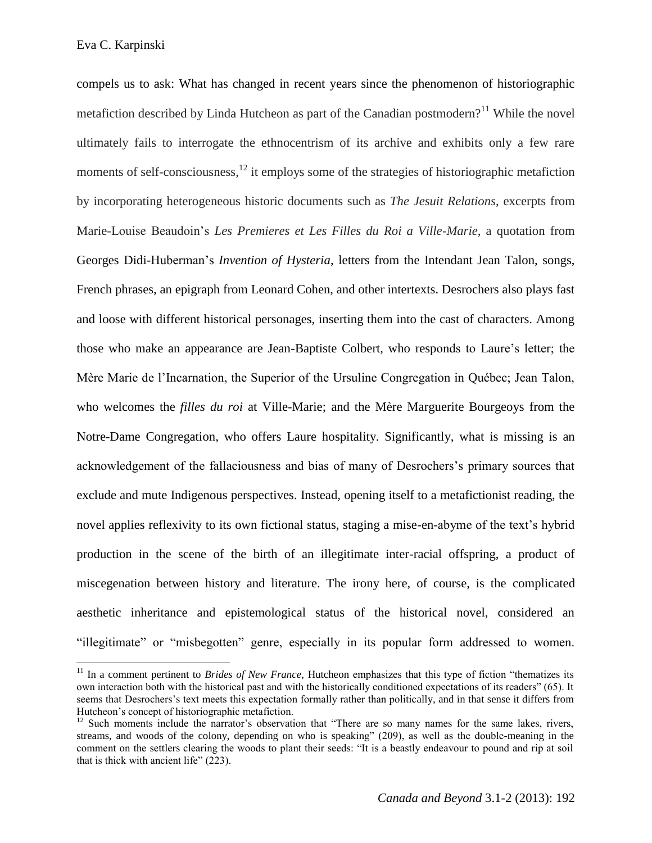$\overline{a}$ 

compels us to ask: What has changed in recent years since the phenomenon of historiographic metafiction described by Linda Hutcheon as part of the Canadian postmodern?<sup>11</sup> While the novel ultimately fails to interrogate the ethnocentrism of its archive and exhibits only a few rare moments of self-consciousness, $^{12}$  it employs some of the strategies of historiographic metafiction by incorporating heterogeneous historic documents such as *The Jesuit Relations*, excerpts from Marie-Louise Beaudoin's *Les Premieres et Les Filles du Roi a Ville-Marie*, a quotation from Georges Didi-Huberman's *Invention of Hysteria*, letters from the Intendant Jean Talon, songs, French phrases, an epigraph from Leonard Cohen, and other intertexts. Desrochers also plays fast and loose with different historical personages, inserting them into the cast of characters. Among those who make an appearance are Jean-Baptiste Colbert, who responds to Laure's letter; the Mère Marie de l'Incarnation, the Superior of the Ursuline Congregation in Québec; Jean Talon, who welcomes the *filles du roi* at Ville-Marie; and the Mère Marguerite Bourgeoys from the Notre-Dame Congregation, who offers Laure hospitality. Significantly, what is missing is an acknowledgement of the fallaciousness and bias of many of Desrochers's primary sources that exclude and mute Indigenous perspectives. Instead, opening itself to a metafictionist reading, the novel applies reflexivity to its own fictional status, staging a mise-en-abyme of the text's hybrid production in the scene of the birth of an illegitimate inter-racial offspring, a product of miscegenation between history and literature. The irony here, of course, is the complicated aesthetic inheritance and epistemological status of the historical novel, considered an "illegitimate" or "misbegotten" genre, especially in its popular form addressed to women.

<sup>&</sup>lt;sup>11</sup> In a comment pertinent to *Brides of New France*, Hutcheon emphasizes that this type of fiction "thematizes its own interaction both with the historical past and with the historically conditioned expectations of its readers" (65). It seems that Desrochers's text meets this expectation formally rather than politically, and in that sense it differs from Hutcheon's concept of historiographic metafiction.

 $12$  Such moments include the narrator's observation that "There are so many names for the same lakes, rivers, streams, and woods of the colony, depending on who is speaking" (209), as well as the double-meaning in the comment on the settlers clearing the woods to plant their seeds: "It is a beastly endeavour to pound and rip at soil that is thick with ancient life" (223).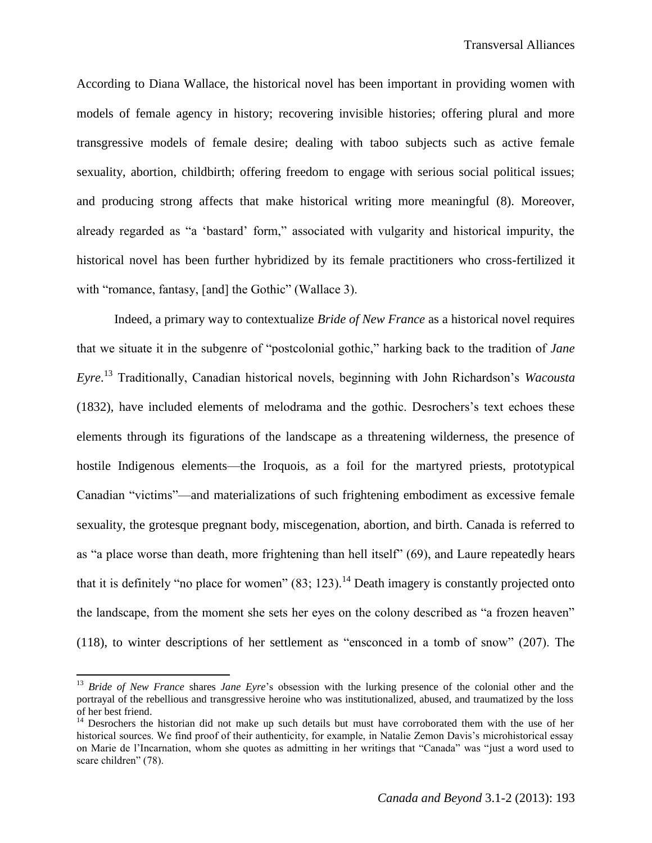According to Diana Wallace, the historical novel has been important in providing women with models of female agency in history; recovering invisible histories; offering plural and more transgressive models of female desire; dealing with taboo subjects such as active female sexuality, abortion, childbirth; offering freedom to engage with serious social political issues; and producing strong affects that make historical writing more meaningful (8). Moreover, already regarded as "a 'bastard' form," associated with vulgarity and historical impurity, the historical novel has been further hybridized by its female practitioners who cross-fertilized it with "romance, fantasy, [and] the Gothic" (Wallace 3).

Indeed, a primary way to contextualize *Bride of New France* as a historical novel requires that we situate it in the subgenre of "postcolonial gothic," harking back to the tradition of *Jane Eyre*. <sup>13</sup> Traditionally, Canadian historical novels, beginning with John Richardson's *Wacousta* (1832), have included elements of melodrama and the gothic. Desrochers's text echoes these elements through its figurations of the landscape as a threatening wilderness, the presence of hostile Indigenous elements—the Iroquois, as a foil for the martyred priests, prototypical Canadian "victims"—and materializations of such frightening embodiment as excessive female sexuality, the grotesque pregnant body, miscegenation, abortion, and birth. Canada is referred to as "a place worse than death, more frightening than hell itself" (69), and Laure repeatedly hears that it is definitely "no place for women"  $(83; 123)$ .<sup>14</sup> Death imagery is constantly projected onto the landscape, from the moment she sets her eyes on the colony described as "a frozen heaven" (118), to winter descriptions of her settlement as "ensconced in a tomb of snow" (207). The

<sup>&</sup>lt;sup>13</sup> *Bride of New France* shares *Jane Eyre*'s obsession with the lurking presence of the colonial other and the portrayal of the rebellious and transgressive heroine who was institutionalized, abused, and traumatized by the loss of her best friend.

<sup>&</sup>lt;sup>14</sup> Desrochers the historian did not make up such details but must have corroborated them with the use of her historical sources. We find proof of their authenticity, for example, in Natalie Zemon Davis's microhistorical essay on Marie de l'Incarnation, whom she quotes as admitting in her writings that "Canada" was "just a word used to scare children" (78).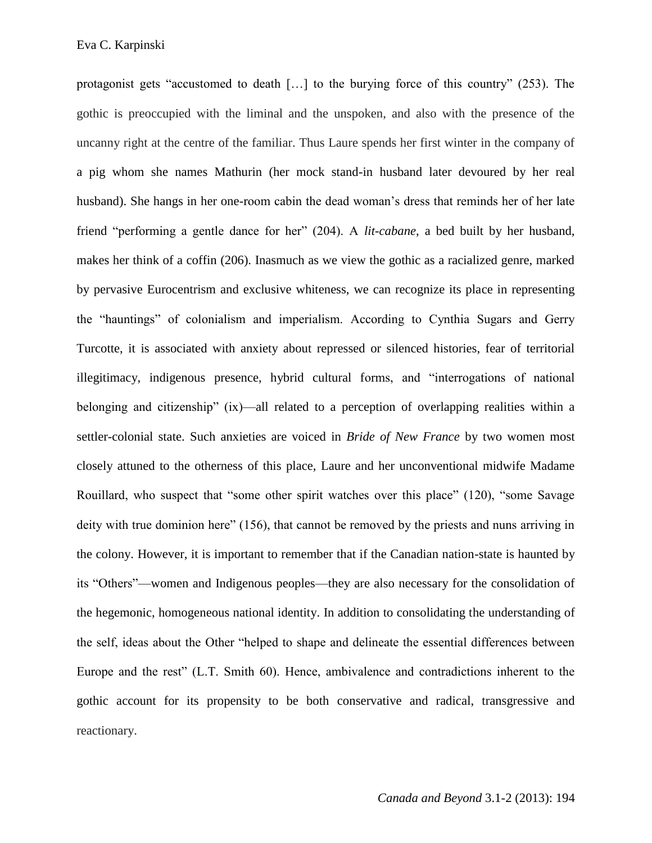protagonist gets "accustomed to death […] to the burying force of this country" (253). The gothic is preoccupied with the liminal and the unspoken, and also with the presence of the uncanny right at the centre of the familiar. Thus Laure spends her first winter in the company of a pig whom she names Mathurin (her mock stand-in husband later devoured by her real husband). She hangs in her one-room cabin the dead woman's dress that reminds her of her late friend "performing a gentle dance for her" (204). A *lit-cabane*, a bed built by her husband, makes her think of a coffin (206). Inasmuch as we view the gothic as a racialized genre, marked by pervasive Eurocentrism and exclusive whiteness, we can recognize its place in representing the "hauntings" of colonialism and imperialism. According to Cynthia Sugars and Gerry Turcotte, it is associated with anxiety about repressed or silenced histories, fear of territorial illegitimacy, indigenous presence, hybrid cultural forms, and "interrogations of national belonging and citizenship" (ix)—all related to a perception of overlapping realities within a settler-colonial state. Such anxieties are voiced in *Bride of New France* by two women most closely attuned to the otherness of this place, Laure and her unconventional midwife Madame Rouillard, who suspect that "some other spirit watches over this place" (120), "some Savage deity with true dominion here" (156), that cannot be removed by the priests and nuns arriving in the colony. However, it is important to remember that if the Canadian nation-state is haunted by its "Others"—women and Indigenous peoples—they are also necessary for the consolidation of the hegemonic, homogeneous national identity. In addition to consolidating the understanding of the self, ideas about the Other "helped to shape and delineate the essential differences between Europe and the rest" (L.T. Smith 60). Hence, ambivalence and contradictions inherent to the gothic account for its propensity to be both conservative and radical, transgressive and reactionary.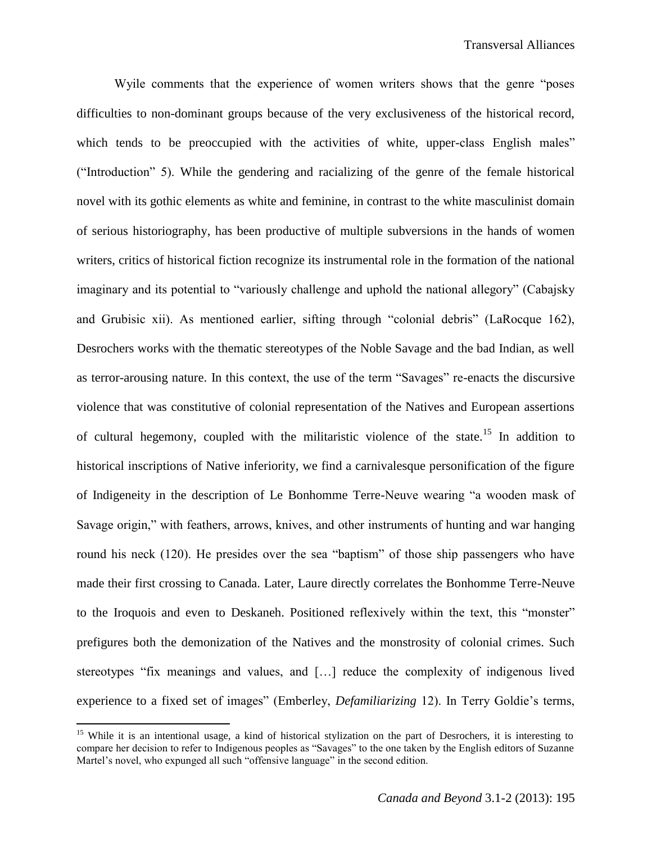Wyile comments that the experience of women writers shows that the genre "poses difficulties to non-dominant groups because of the very exclusiveness of the historical record, which tends to be preoccupied with the activities of white, upper-class English males" ("Introduction" 5). While the gendering and racializing of the genre of the female historical novel with its gothic elements as white and feminine, in contrast to the white masculinist domain of serious historiography, has been productive of multiple subversions in the hands of women writers, critics of historical fiction recognize its instrumental role in the formation of the national imaginary and its potential to "variously challenge and uphold the national allegory" (Cabajsky and Grubisic xii). As mentioned earlier, sifting through "colonial debris" (LaRocque 162), Desrochers works with the thematic stereotypes of the Noble Savage and the bad Indian, as well as terror-arousing nature. In this context, the use of the term "Savages" re-enacts the discursive violence that was constitutive of colonial representation of the Natives and European assertions of cultural hegemony, coupled with the militaristic violence of the state.<sup>15</sup> In addition to historical inscriptions of Native inferiority, we find a carnivalesque personification of the figure of Indigeneity in the description of Le Bonhomme Terre-Neuve wearing "a wooden mask of Savage origin," with feathers, arrows, knives, and other instruments of hunting and war hanging round his neck (120). He presides over the sea "baptism" of those ship passengers who have made their first crossing to Canada. Later, Laure directly correlates the Bonhomme Terre-Neuve to the Iroquois and even to Deskaneh. Positioned reflexively within the text, this "monster" prefigures both the demonization of the Natives and the monstrosity of colonial crimes. Such stereotypes "fix meanings and values, and […] reduce the complexity of indigenous lived experience to a fixed set of images" (Emberley, *Defamiliarizing* 12). In Terry Goldie's terms,

<sup>&</sup>lt;sup>15</sup> While it is an intentional usage, a kind of historical stylization on the part of Desrochers, it is interesting to compare her decision to refer to Indigenous peoples as "Savages" to the one taken by the English editors of Suzanne Martel's novel, who expunged all such "offensive language" in the second edition.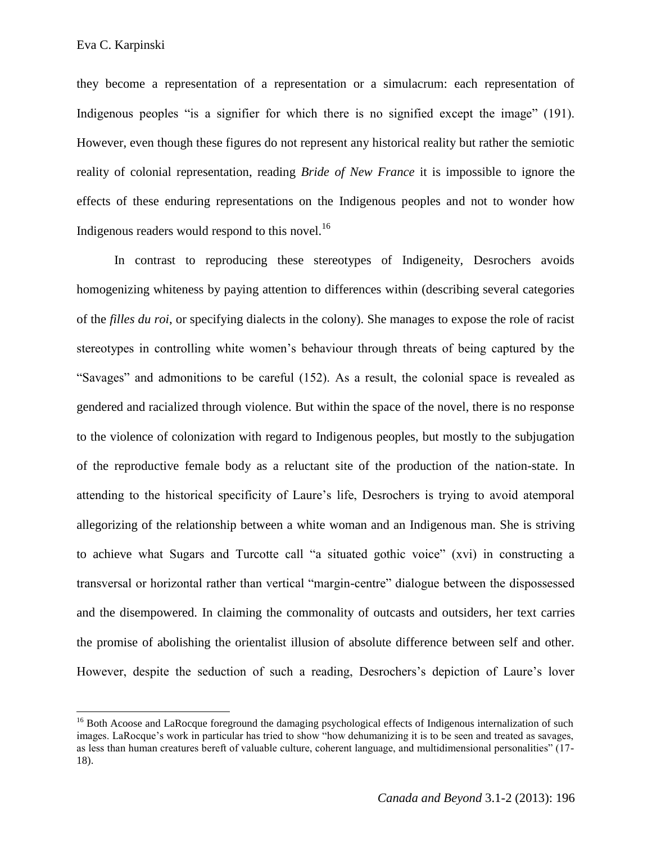they become a representation of a representation or a simulacrum: each representation of Indigenous peoples "is a signifier for which there is no signified except the image" (191). However, even though these figures do not represent any historical reality but rather the semiotic reality of colonial representation, reading *Bride of New France* it is impossible to ignore the effects of these enduring representations on the Indigenous peoples and not to wonder how Indigenous readers would respond to this novel.<sup>16</sup>

In contrast to reproducing these stereotypes of Indigeneity, Desrochers avoids homogenizing whiteness by paying attention to differences within (describing several categories of the *filles du roi*, or specifying dialects in the colony). She manages to expose the role of racist stereotypes in controlling white women's behaviour through threats of being captured by the "Savages" and admonitions to be careful (152). As a result, the colonial space is revealed as gendered and racialized through violence. But within the space of the novel, there is no response to the violence of colonization with regard to Indigenous peoples, but mostly to the subjugation of the reproductive female body as a reluctant site of the production of the nation-state. In attending to the historical specificity of Laure's life, Desrochers is trying to avoid atemporal allegorizing of the relationship between a white woman and an Indigenous man. She is striving to achieve what Sugars and Turcotte call "a situated gothic voice" (xvi) in constructing a transversal or horizontal rather than vertical "margin-centre" dialogue between the dispossessed and the disempowered. In claiming the commonality of outcasts and outsiders, her text carries the promise of abolishing the orientalist illusion of absolute difference between self and other. However, despite the seduction of such a reading, Desrochers's depiction of Laure's lover

<sup>&</sup>lt;sup>16</sup> Both Acoose and LaRocque foreground the damaging psychological effects of Indigenous internalization of such images. LaRocque's work in particular has tried to show "how dehumanizing it is to be seen and treated as savages, as less than human creatures bereft of valuable culture, coherent language, and multidimensional personalities" (17- 18).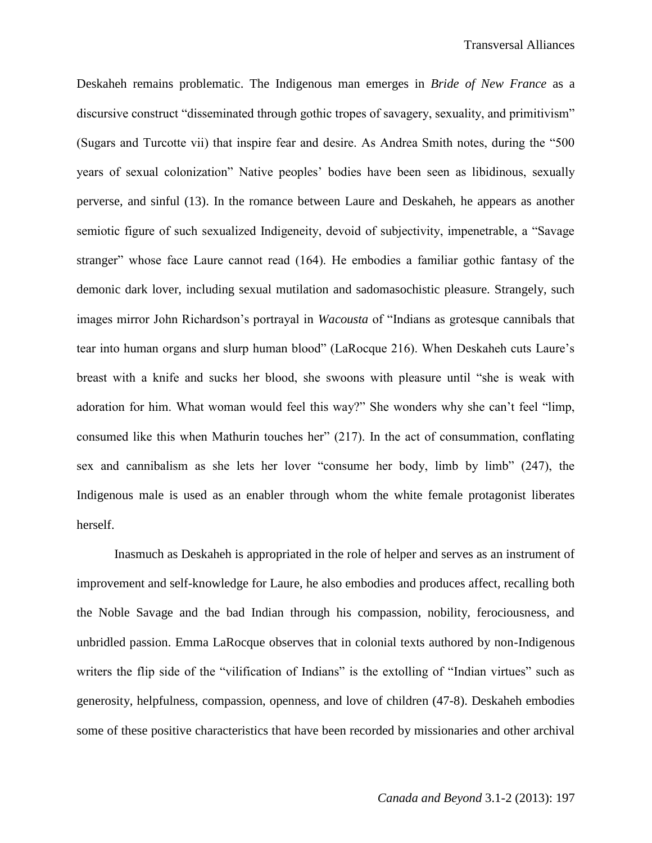Deskaheh remains problematic. The Indigenous man emerges in *Bride of New France* as a discursive construct "disseminated through gothic tropes of savagery, sexuality, and primitivism" (Sugars and Turcotte vii) that inspire fear and desire. As Andrea Smith notes, during the "500 years of sexual colonization" Native peoples' bodies have been seen as libidinous, sexually perverse, and sinful (13). In the romance between Laure and Deskaheh, he appears as another semiotic figure of such sexualized Indigeneity, devoid of subjectivity, impenetrable, a "Savage stranger" whose face Laure cannot read (164). He embodies a familiar gothic fantasy of the demonic dark lover, including sexual mutilation and sadomasochistic pleasure. Strangely, such images mirror John Richardson's portrayal in *Wacousta* of "Indians as grotesque cannibals that tear into human organs and slurp human blood" (LaRocque 216). When Deskaheh cuts Laure's breast with a knife and sucks her blood, she swoons with pleasure until "she is weak with adoration for him. What woman would feel this way?" She wonders why she can't feel "limp, consumed like this when Mathurin touches her" (217). In the act of consummation, conflating sex and cannibalism as she lets her lover "consume her body, limb by limb" (247), the Indigenous male is used as an enabler through whom the white female protagonist liberates herself.

Inasmuch as Deskaheh is appropriated in the role of helper and serves as an instrument of improvement and self-knowledge for Laure, he also embodies and produces affect, recalling both the Noble Savage and the bad Indian through his compassion, nobility, ferociousness, and unbridled passion. Emma LaRocque observes that in colonial texts authored by non-Indigenous writers the flip side of the "vilification of Indians" is the extolling of "Indian virtues" such as generosity, helpfulness, compassion, openness, and love of children (47-8). Deskaheh embodies some of these positive characteristics that have been recorded by missionaries and other archival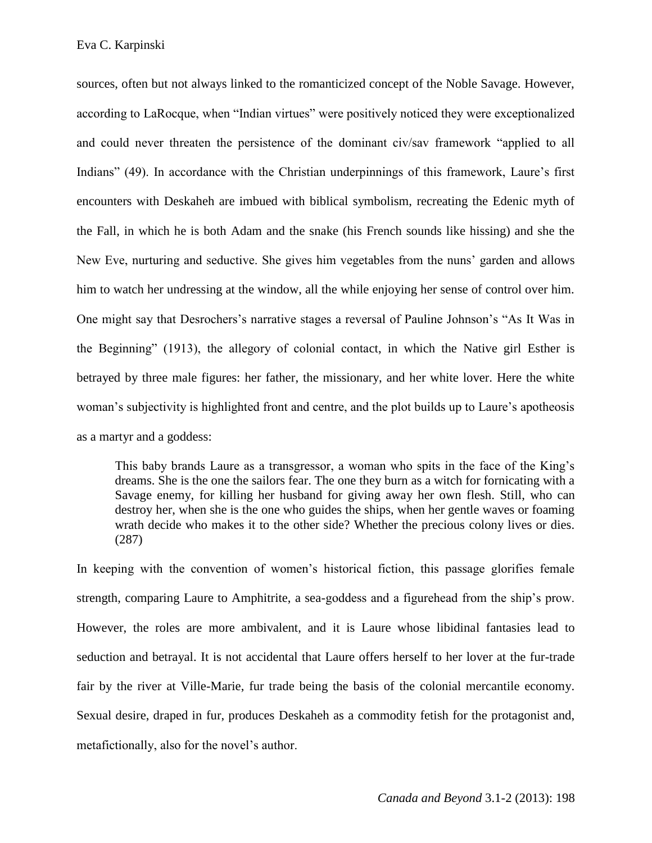sources, often but not always linked to the romanticized concept of the Noble Savage. However, according to LaRocque, when "Indian virtues" were positively noticed they were exceptionalized and could never threaten the persistence of the dominant civ/sav framework "applied to all Indians" (49). In accordance with the Christian underpinnings of this framework, Laure's first encounters with Deskaheh are imbued with biblical symbolism, recreating the Edenic myth of the Fall, in which he is both Adam and the snake (his French sounds like hissing) and she the New Eve, nurturing and seductive. She gives him vegetables from the nuns' garden and allows him to watch her undressing at the window, all the while enjoying her sense of control over him. One might say that Desrochers's narrative stages a reversal of Pauline Johnson's "As It Was in the Beginning" (1913), the allegory of colonial contact, in which the Native girl Esther is betrayed by three male figures: her father, the missionary, and her white lover. Here the white woman's subjectivity is highlighted front and centre, and the plot builds up to Laure's apotheosis as a martyr and a goddess:

This baby brands Laure as a transgressor, a woman who spits in the face of the King's dreams. She is the one the sailors fear. The one they burn as a witch for fornicating with a Savage enemy, for killing her husband for giving away her own flesh. Still, who can destroy her, when she is the one who guides the ships, when her gentle waves or foaming wrath decide who makes it to the other side? Whether the precious colony lives or dies. (287)

In keeping with the convention of women's historical fiction, this passage glorifies female strength, comparing Laure to Amphitrite, a sea-goddess and a figurehead from the ship's prow. However, the roles are more ambivalent, and it is Laure whose libidinal fantasies lead to seduction and betrayal. It is not accidental that Laure offers herself to her lover at the fur-trade fair by the river at Ville-Marie, fur trade being the basis of the colonial mercantile economy. Sexual desire, draped in fur, produces Deskaheh as a commodity fetish for the protagonist and, metafictionally, also for the novel's author.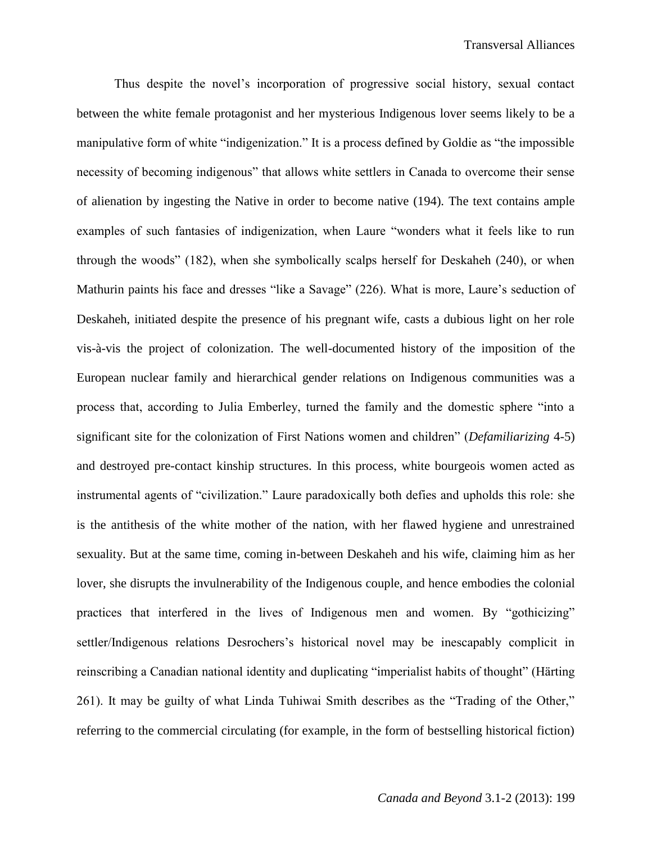Thus despite the novel's incorporation of progressive social history, sexual contact between the white female protagonist and her mysterious Indigenous lover seems likely to be a manipulative form of white "indigenization." It is a process defined by Goldie as "the impossible necessity of becoming indigenous" that allows white settlers in Canada to overcome their sense of alienation by ingesting the Native in order to become native (194). The text contains ample examples of such fantasies of indigenization, when Laure "wonders what it feels like to run through the woods" (182), when she symbolically scalps herself for Deskaheh (240), or when Mathurin paints his face and dresses "like a Savage" (226). What is more, Laure's seduction of Deskaheh, initiated despite the presence of his pregnant wife, casts a dubious light on her role vis-à-vis the project of colonization. The well-documented history of the imposition of the European nuclear family and hierarchical gender relations on Indigenous communities was a process that, according to Julia Emberley, turned the family and the domestic sphere "into a significant site for the colonization of First Nations women and children" (*Defamiliarizing* 4-5) and destroyed pre-contact kinship structures. In this process, white bourgeois women acted as instrumental agents of "civilization." Laure paradoxically both defies and upholds this role: she is the antithesis of the white mother of the nation, with her flawed hygiene and unrestrained sexuality. But at the same time, coming in-between Deskaheh and his wife, claiming him as her lover, she disrupts the invulnerability of the Indigenous couple, and hence embodies the colonial practices that interfered in the lives of Indigenous men and women. By "gothicizing" settler/Indigenous relations Desrochers's historical novel may be inescapably complicit in reinscribing a Canadian national identity and duplicating "imperialist habits of thought" (Härting 261). It may be guilty of what Linda Tuhiwai Smith describes as the "Trading of the Other," referring to the commercial circulating (for example, in the form of bestselling historical fiction)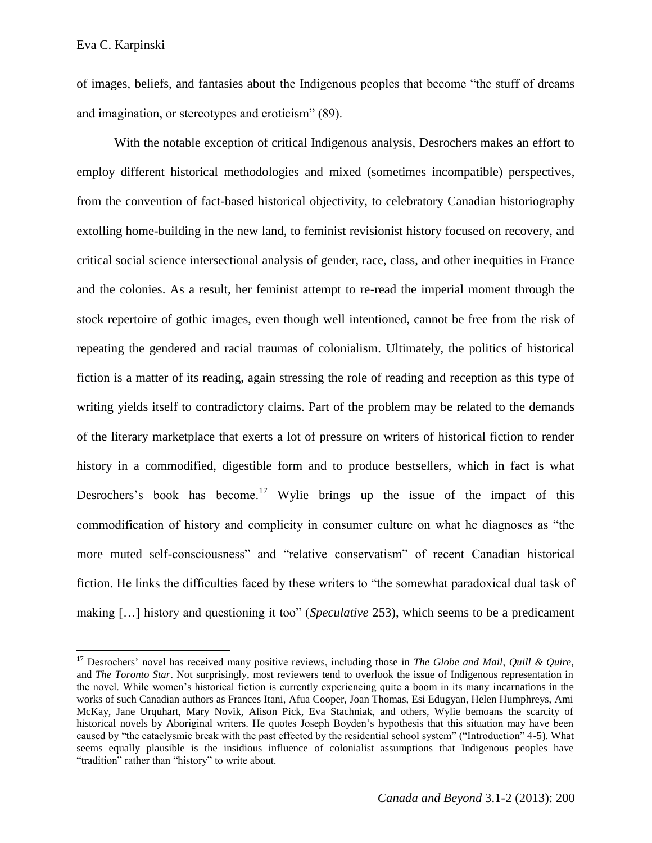of images, beliefs, and fantasies about the Indigenous peoples that become "the stuff of dreams and imagination, or stereotypes and eroticism" (89).

With the notable exception of critical Indigenous analysis, Desrochers makes an effort to employ different historical methodologies and mixed (sometimes incompatible) perspectives, from the convention of fact-based historical objectivity, to celebratory Canadian historiography extolling home-building in the new land, to feminist revisionist history focused on recovery, and critical social science intersectional analysis of gender, race, class, and other inequities in France and the colonies. As a result, her feminist attempt to re-read the imperial moment through the stock repertoire of gothic images, even though well intentioned, cannot be free from the risk of repeating the gendered and racial traumas of colonialism. Ultimately, the politics of historical fiction is a matter of its reading, again stressing the role of reading and reception as this type of writing yields itself to contradictory claims. Part of the problem may be related to the demands of the literary marketplace that exerts a lot of pressure on writers of historical fiction to render history in a commodified, digestible form and to produce bestsellers, which in fact is what Desrochers's book has become.<sup>17</sup> Wylie brings up the issue of the impact of this commodification of history and complicity in consumer culture on what he diagnoses as "the more muted self-consciousness" and "relative conservatism" of recent Canadian historical fiction. He links the difficulties faced by these writers to "the somewhat paradoxical dual task of making […] history and questioning it too" (*Speculative* 253), which seems to be a predicament

<sup>17</sup> Desrochers' novel has received many positive reviews, including those in *The Globe and Mail*, *Quill & Quire*, and *The Toronto Star*. Not surprisingly, most reviewers tend to overlook the issue of Indigenous representation in the novel. While women's historical fiction is currently experiencing quite a boom in its many incarnations in the works of such Canadian authors as Frances Itani, Afua Cooper, Joan Thomas, Esi Edugyan, Helen Humphreys, Ami McKay, Jane Urquhart, Mary Novik, Alison Pick, Eva Stachniak, and others, Wylie bemoans the scarcity of historical novels by Aboriginal writers. He quotes Joseph Boyden's hypothesis that this situation may have been caused by "the cataclysmic break with the past effected by the residential school system" ("Introduction" 4-5). What seems equally plausible is the insidious influence of colonialist assumptions that Indigenous peoples have "tradition" rather than "history" to write about.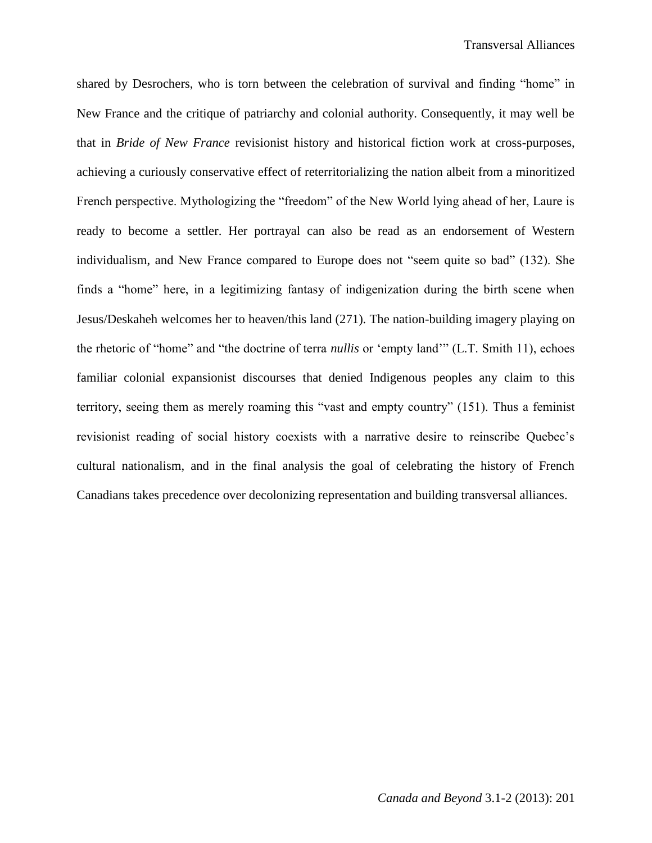shared by Desrochers, who is torn between the celebration of survival and finding "home" in New France and the critique of patriarchy and colonial authority. Consequently, it may well be that in *Bride of New France* revisionist history and historical fiction work at cross-purposes, achieving a curiously conservative effect of reterritorializing the nation albeit from a minoritized French perspective. Mythologizing the "freedom" of the New World lying ahead of her, Laure is ready to become a settler. Her portrayal can also be read as an endorsement of Western individualism, and New France compared to Europe does not "seem quite so bad" (132). She finds a "home" here, in a legitimizing fantasy of indigenization during the birth scene when Jesus/Deskaheh welcomes her to heaven/this land (271). The nation-building imagery playing on the rhetoric of "home" and "the doctrine of terra *nullis* or 'empty land'" (L.T. Smith 11), echoes familiar colonial expansionist discourses that denied Indigenous peoples any claim to this territory, seeing them as merely roaming this "vast and empty country" (151). Thus a feminist revisionist reading of social history coexists with a narrative desire to reinscribe Quebec's cultural nationalism, and in the final analysis the goal of celebrating the history of French Canadians takes precedence over decolonizing representation and building transversal alliances.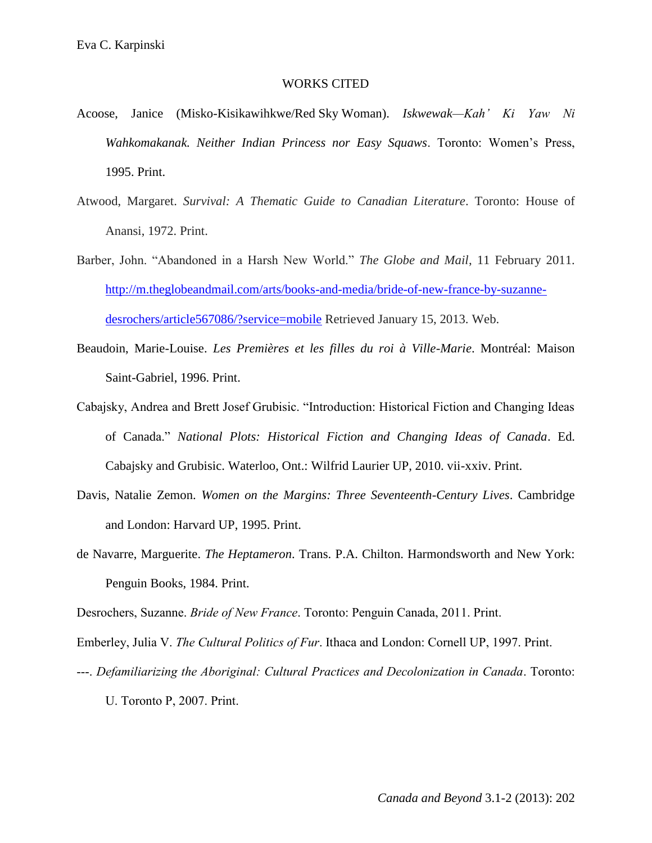## WORKS CITED

- Acoose, Janice (Misko-Kisikawihkwe/Red Sky Woman). *Iskwewak—Kah' Ki Yaw Ni Wahkomakanak. Neither Indian Princess nor Easy Squaws*. Toronto: Women's Press, 1995. Print.
- Atwood, Margaret. *Survival: A Thematic Guide to Canadian Literature*. Toronto: House of Anansi, 1972. Print.
- Barber, John. "Abandoned in a Harsh New World." *The Globe and Mail*, 11 February 2011. [http://m.theglobeandmail.com/arts/books-and-media/bride-of-new-france-by-suzanne](http://m.theglobeandmail.com/arts/books-and-media/bride-of-new-france-by-suzanne-desrochers/article567086/?service=mobile)[desrochers/article567086/?service=mobile](http://m.theglobeandmail.com/arts/books-and-media/bride-of-new-france-by-suzanne-desrochers/article567086/?service=mobile) Retrieved January 15, 2013. Web.
- Beaudoin, Marie-Louise. *Les Premières et les filles du roi à Ville-Marie*. Montréal: Maison Saint-Gabriel, 1996. Print.
- Cabajsky, Andrea and Brett Josef Grubisic. "Introduction: Historical Fiction and Changing Ideas of Canada." *National Plots: Historical Fiction and Changing Ideas of Canada*. Ed. Cabajsky and Grubisic. Waterloo, Ont.: Wilfrid Laurier UP, 2010. vii-xxiv. Print.
- Davis, Natalie Zemon. *Women on the Margins: Three Seventeenth-Century Lives*. Cambridge and London: Harvard UP, 1995. Print.
- de Navarre, Marguerite. *The Heptameron*. Trans. P.A. Chilton. Harmondsworth and New York: Penguin Books, 1984. Print.

Desrochers, Suzanne. *Bride of New France*. Toronto: Penguin Canada, 2011. Print.

Emberley, Julia V. *The Cultural Politics of Fur*. Ithaca and London: Cornell UP, 1997. Print.

---. *Defamiliarizing the Aboriginal: Cultural Practices and Decolonization in Canada*. Toronto: U. Toronto P, 2007. Print.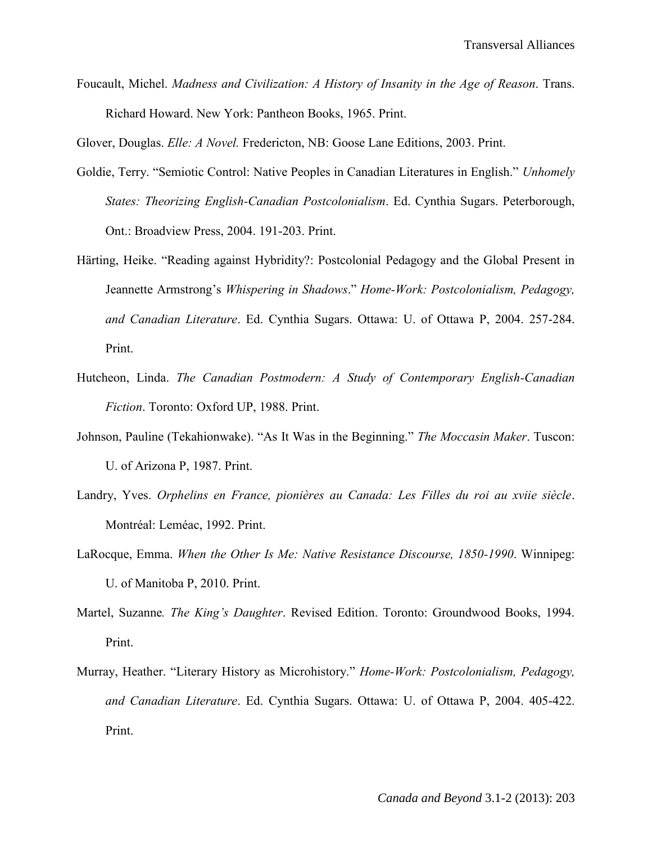Foucault, Michel. *Madness and Civilization: A History of Insanity in the Age of Reason*. Trans. Richard Howard. New York: Pantheon Books, 1965. Print.

Glover, Douglas. *Elle: A Novel.* Fredericton, NB: Goose Lane Editions, 2003. Print.

- Goldie, Terry. "Semiotic Control: Native Peoples in Canadian Literatures in English." *Unhomely States: Theorizing English-Canadian Postcolonialism*. Ed. Cynthia Sugars. Peterborough, Ont.: Broadview Press, 2004. 191-203. Print.
- Härting, Heike. "Reading against Hybridity?: Postcolonial Pedagogy and the Global Present in Jeannette Armstrong's *Whispering in Shadows*." *Home-Work: Postcolonialism, Pedagogy, and Canadian Literature*. Ed. Cynthia Sugars. Ottawa: U. of Ottawa P, 2004. 257-284. Print.
- Hutcheon, Linda. *The Canadian Postmodern: A Study of Contemporary English-Canadian Fiction*. Toronto: Oxford UP, 1988. Print.
- Johnson, Pauline (Tekahionwake). "As It Was in the Beginning." *The Moccasin Maker*. Tuscon: U. of Arizona P, 1987. Print.
- Landry, Yves. *Orphelins en France, pionières au Canada: Les Filles du roi au xviie siècle*. Montréal: Leméac, 1992. Print.
- LaRocque, Emma. *When the Other Is Me: Native Resistance Discourse, 1850-1990*. Winnipeg: U. of Manitoba P, 2010. Print.
- Martel, Suzanne*. The King's Daughter*. Revised Edition. Toronto: Groundwood Books, 1994. Print.
- Murray, Heather. "Literary History as Microhistory." *Home-Work: Postcolonialism, Pedagogy, and Canadian Literature*. Ed. Cynthia Sugars. Ottawa: U. of Ottawa P, 2004. 405-422. Print.